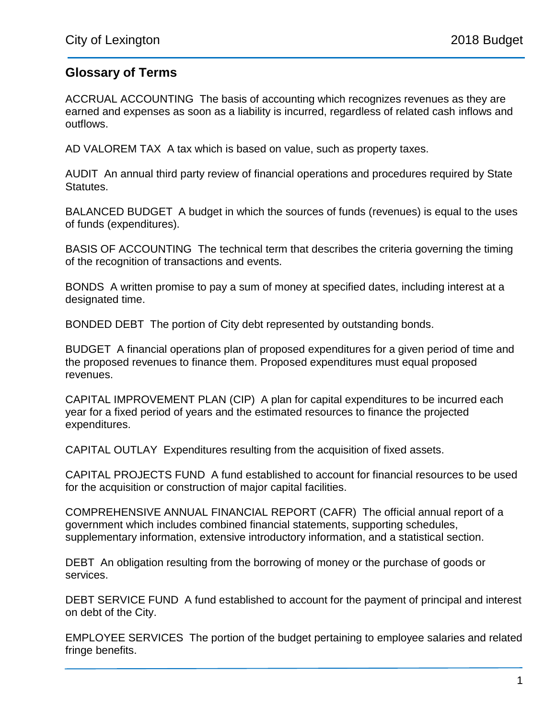## **Glossary of Terms**

ACCRUAL ACCOUNTING The basis of accounting which recognizes revenues as they are earned and expenses as soon as a liability is incurred, regardless of related cash inflows and outflows.

AD VALOREM TAX A tax which is based on value, such as property taxes.

AUDIT An annual third party review of financial operations and procedures required by State Statutes.

BALANCED BUDGET A budget in which the sources of funds (revenues) is equal to the uses of funds (expenditures).

BASIS OF ACCOUNTING The technical term that describes the criteria governing the timing of the recognition of transactions and events.

BONDS A written promise to pay a sum of money at specified dates, including interest at a designated time.

BONDED DEBT The portion of City debt represented by outstanding bonds.

BUDGET A financial operations plan of proposed expenditures for a given period of time and the proposed revenues to finance them. Proposed expenditures must equal proposed revenues.

CAPITAL IMPROVEMENT PLAN (CIP) A plan for capital expenditures to be incurred each year for a fixed period of years and the estimated resources to finance the projected expenditures.

CAPITAL OUTLAY Expenditures resulting from the acquisition of fixed assets.

CAPITAL PROJECTS FUND A fund established to account for financial resources to be used for the acquisition or construction of major capital facilities.

COMPREHENSIVE ANNUAL FINANCIAL REPORT (CAFR) The official annual report of a government which includes combined financial statements, supporting schedules, supplementary information, extensive introductory information, and a statistical section.

DEBT An obligation resulting from the borrowing of money or the purchase of goods or services.

DEBT SERVICE FUND A fund established to account for the payment of principal and interest on debt of the City.

EMPLOYEE SERVICES The portion of the budget pertaining to employee salaries and related fringe benefits.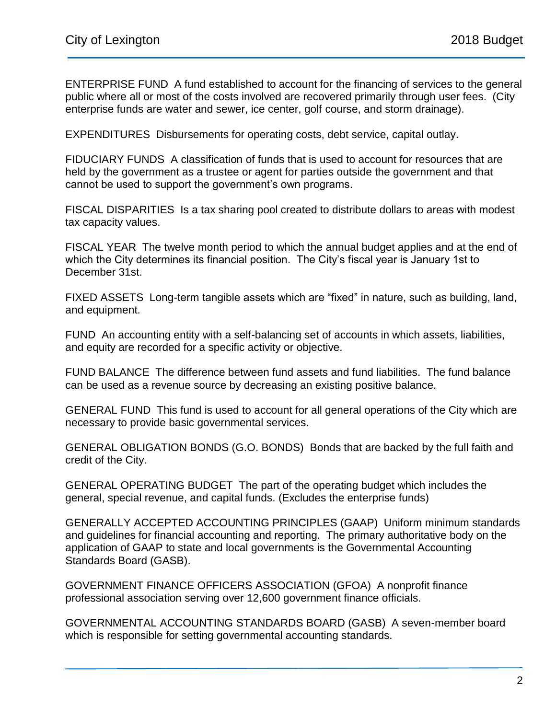ENTERPRISE FUND A fund established to account for the financing of services to the general public where all or most of the costs involved are recovered primarily through user fees. (City enterprise funds are water and sewer, ice center, golf course, and storm drainage).

EXPENDITURES Disbursements for operating costs, debt service, capital outlay.

FIDUCIARY FUNDS A classification of funds that is used to account for resources that are held by the government as a trustee or agent for parties outside the government and that cannot be used to support the government's own programs.

FISCAL DISPARITIES Is a tax sharing pool created to distribute dollars to areas with modest tax capacity values.

FISCAL YEAR The twelve month period to which the annual budget applies and at the end of which the City determines its financial position. The City's fiscal year is January 1st to December 31st.

FIXED ASSETS Long-term tangible assets which are "fixed" in nature, such as building, land, and equipment.

FUND An accounting entity with a self-balancing set of accounts in which assets, liabilities, and equity are recorded for a specific activity or objective.

FUND BALANCE The difference between fund assets and fund liabilities. The fund balance can be used as a revenue source by decreasing an existing positive balance.

GENERAL FUND This fund is used to account for all general operations of the City which are necessary to provide basic governmental services.

GENERAL OBLIGATION BONDS (G.O. BONDS) Bonds that are backed by the full faith and credit of the City.

GENERAL OPERATING BUDGET The part of the operating budget which includes the general, special revenue, and capital funds. (Excludes the enterprise funds)

GENERALLY ACCEPTED ACCOUNTING PRINCIPLES (GAAP) Uniform minimum standards and guidelines for financial accounting and reporting. The primary authoritative body on the application of GAAP to state and local governments is the Governmental Accounting Standards Board (GASB).

GOVERNMENT FINANCE OFFICERS ASSOCIATION (GFOA) A nonprofit finance professional association serving over 12,600 government finance officials.

GOVERNMENTAL ACCOUNTING STANDARDS BOARD (GASB) A seven-member board which is responsible for setting governmental accounting standards.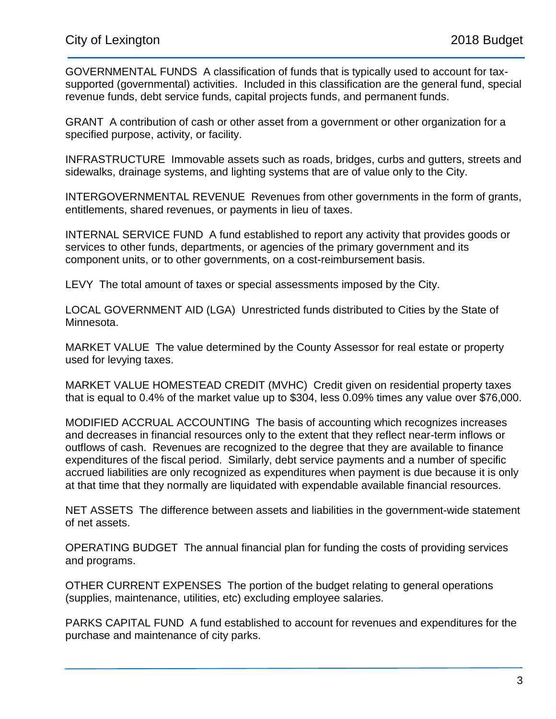GOVERNMENTAL FUNDS A classification of funds that is typically used to account for taxsupported (governmental) activities. Included in this classification are the general fund, special revenue funds, debt service funds, capital projects funds, and permanent funds.

GRANT A contribution of cash or other asset from a government or other organization for a specified purpose, activity, or facility.

INFRASTRUCTURE Immovable assets such as roads, bridges, curbs and gutters, streets and sidewalks, drainage systems, and lighting systems that are of value only to the City.

INTERGOVERNMENTAL REVENUE Revenues from other governments in the form of grants, entitlements, shared revenues, or payments in lieu of taxes.

INTERNAL SERVICE FUND A fund established to report any activity that provides goods or services to other funds, departments, or agencies of the primary government and its component units, or to other governments, on a cost-reimbursement basis.

LEVY The total amount of taxes or special assessments imposed by the City.

LOCAL GOVERNMENT AID (LGA) Unrestricted funds distributed to Cities by the State of Minnesota.

MARKET VALUE The value determined by the County Assessor for real estate or property used for levying taxes.

MARKET VALUE HOMESTEAD CREDIT (MVHC) Credit given on residential property taxes that is equal to 0.4% of the market value up to \$304, less 0.09% times any value over \$76,000.

MODIFIED ACCRUAL ACCOUNTING The basis of accounting which recognizes increases and decreases in financial resources only to the extent that they reflect near-term inflows or outflows of cash. Revenues are recognized to the degree that they are available to finance expenditures of the fiscal period. Similarly, debt service payments and a number of specific accrued liabilities are only recognized as expenditures when payment is due because it is only at that time that they normally are liquidated with expendable available financial resources.

NET ASSETS The difference between assets and liabilities in the government-wide statement of net assets.

OPERATING BUDGET The annual financial plan for funding the costs of providing services and programs.

OTHER CURRENT EXPENSES The portion of the budget relating to general operations (supplies, maintenance, utilities, etc) excluding employee salaries.

PARKS CAPITAL FUND A fund established to account for revenues and expenditures for the purchase and maintenance of city parks.